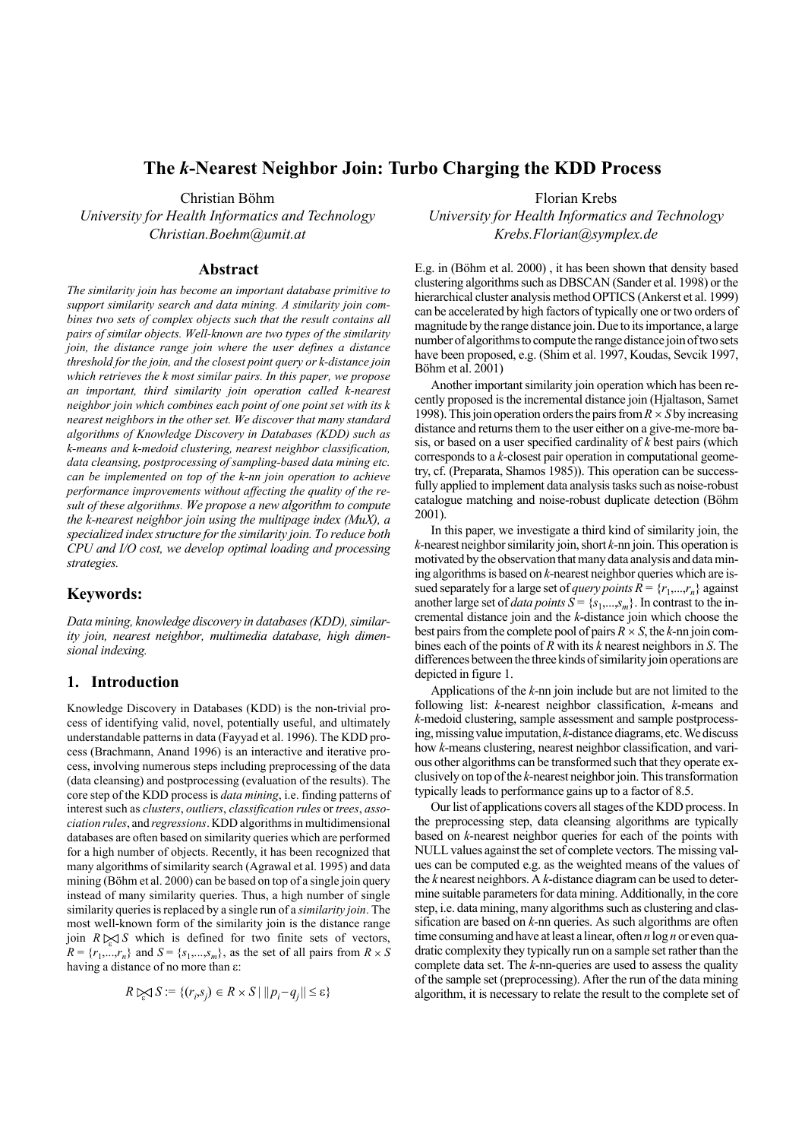# **The** *k***-Nearest Neighbor Join: Turbo Charging the KDD Process**

Christian Böhm Florian Krebs

## **Abstract**

*The similarity join has become an important database primitive to support similarity search and data mining. A similarity join combines two sets of complex objects such that the result contains all pairs of similar objects. Well-known are two types of the similarity join, the distance range join where the user defines a distance threshold for the join, and the closest point query or k-distance join which retrieves the k most similar pairs. In this paper, we propose an important, third similarity join operation called k-nearest neighbor join which combines each point of one point set with its k nearest neighbors in the other set. We discover that many standard algorithms of Knowledge Discovery in Databases (KDD) such as k-means and k-medoid clustering, nearest neighbor classification, data cleansing, postprocessing of sampling-based data mining etc. can be implemented on top of the k-nn join operation to achieve performance improvements without affecting the quality of the result of these algorithms. We propose a new algorithm to compute the k-nearest neighbor join using the multipage index (MuX), a specialized index structure for the similarity join. To reduce both CPU and I/O cost, we develop optimal loading and processing strategies.*

## **Keywords:**

*Data mining, knowledge discovery in databases (KDD), similarity join, nearest neighbor, multimedia database, high dimensional indexing.*

## **1. Introduction**

Knowledge Discovery in Databases (KDD) is the non-trivial process of identifying valid, novel, potentially useful, and ultimately understandable patterns in data (Fayyad et al. 1996). The KDD process (Brachmann, Anand 1996) is an interactive and iterative process, involving numerous steps including preprocessing of the data (data cleansing) and postprocessing (evaluation of the results). The core step of the KDD process is *data mining*, i.e. finding patterns of interest such as *clusters*, *outliers*, *classification rules* or *trees*, *association rules*, and *regressions*. KDD algorithms in multidimensional databases are often based on similarity queries which are performed for a high number of objects. Recently, it has been recognized that many algorithms of similarity search (Agrawal et al. 1995) and data mining (Böhm et al. 2000) can be based on top of a single join query instead of many similarity queries. Thus, a high number of single similarity queries is replaced by a single run of a *similarity join*. The most well-known form of the similarity join is the distance range join  $R \ge S$  which is defined for two finite sets of vectors,  $R = \{r_1, \ldots, r_n\}$  and  $S = \{s_1, \ldots, s_m\}$ , as the set of all pairs from  $R \times S$ having a distance of no more than ε:

$$
R \trianglerighteq S := \{ (r_i, s_j) \in R \times S \mid ||p_i - q_j|| \le \varepsilon \}
$$

*University for Health Informatics and Technology University for Health Informatics and Technology Christian.Boehm@umit.at Krebs.Florian@symplex.de*

> E.g. in (Böhm et al. 2000) , it has been shown that density based clustering algorithms such as DBSCAN (Sander et al. 1998) or the hierarchical cluster analysis method OPTICS (Ankerst et al. 1999) can be accelerated by high factors of typically one or two orders of magnitude by the range distance join. Due to its importance, a large number of algorithms to compute the range distance join of two sets have been proposed, e.g. (Shim et al. 1997, Koudas, Sevcik 1997, Böhm et al. 2001)

> Another important similarity join operation which has been recently proposed is the incremental distance join (Hjaltason, Samet 1998). This join operation orders the pairs from  $R \times S$  by increasing distance and returns them to the user either on a give-me-more basis, or based on a user specified cardinality of *k* best pairs (which corresponds to a *k*-closest pair operation in computational geometry, cf. (Preparata, Shamos 1985)). This operation can be successfully applied to implement data analysis tasks such as noise-robust catalogue matching and noise-robust duplicate detection (Böhm 2001).

> In this paper, we investigate a third kind of similarity join, the *k*-nearest neighbor similarity join, short *k*-nn join. This operation is motivated by the observation that many data analysis and data mining algorithms is based on *k*-nearest neighbor queries which are issued separately for a large set of *query points*  $R = \{r_1, ..., r_n\}$  against another large set of *data points*  $S = \{s_1, \ldots, s_m\}$ . In contrast to the incremental distance join and the *k*-distance join which choose the best pairs from the complete pool of pairs  $R \times S$ , the *k*-nn join combines each of the points of *R* with its *k* nearest neighbors in *S*. The differences between the three kinds of similarity join operations are depicted in figure 1.

> Applications of the *k*-nn join include but are not limited to the following list: *k*-nearest neighbor classification, *k*-means and *k*-medoid clustering, sample assessment and sample postprocessing, missing value imputation, *k*-distance diagrams, etc. We discuss how *k*-means clustering, nearest neighbor classification, and various other algorithms can be transformed such that they operate exclusively on top of the *k*-nearest neighbor join. This transformation typically leads to performance gains up to a factor of 8.5.

> Our list of applications covers all stages of the KDD process. In the preprocessing step, data cleansing algorithms are typically based on *k*-nearest neighbor queries for each of the points with NULL values against the set of complete vectors. The missing values can be computed e.g. as the weighted means of the values of the *k* nearest neighbors. A *k*-distance diagram can be used to determine suitable parameters for data mining. Additionally, in the core step, i.e. data mining, many algorithms such as clustering and classification are based on *k*-nn queries. As such algorithms are often time consuming and have at least a linear, often *n* log *n* or even quadratic complexity they typically run on a sample set rather than the complete data set. The *k*-nn-queries are used to assess the quality of the sample set (preprocessing). After the run of the data mining algorithm, it is necessary to relate the result to the complete set of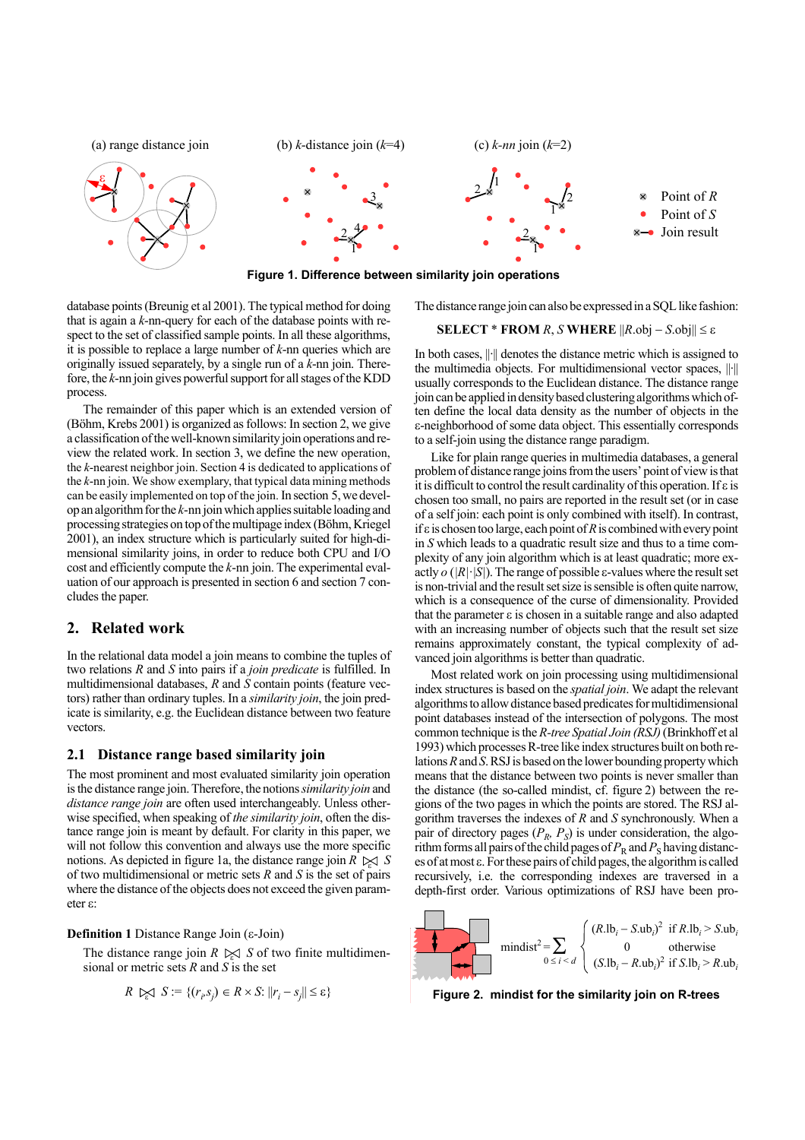

**Figure 1. Difference between similarity join operations**

database points (Breunig et al 2001). The typical method for doing that is again a *k*-nn-query for each of the database points with respect to the set of classified sample points. In all these algorithms, it is possible to replace a large number of *k*-nn queries which are originally issued separately, by a single run of a *k*-nn join. Therefore, the *k*-nn join gives powerful support for all stages of the KDD process.

The remainder of this paper which is an extended version of (Böhm, Krebs 2001) is organized as follows: In section 2, we give a classification of the well-known similarity join operations and review the related work. In section 3, we define the new operation, the *k*-nearest neighbor join. Section 4 is dedicated to applications of the *k*-nn join. We show exemplary, that typical data mining methods can be easily implemented on top of the join. In section 5, we develop an algorithm for the *k*-nn join which applies suitable loading and processing strategies on top of the multipage index (Böhm, Kriegel 2001), an index structure which is particularly suited for high-dimensional similarity joins, in order to reduce both CPU and I/O cost and efficiently compute the *k*-nn join. The experimental evaluation of our approach is presented in section 6 and section 7 concludes the paper.

# **2. Related work**

In the relational data model a join means to combine the tuples of two relations *R* and *S* into pairs if a *join predicate* is fulfilled. In multidimensional databases, *R* and *S* contain points (feature vectors) rather than ordinary tuples. In a *similarity join*, the join predicate is similarity, e.g. the Euclidean distance between two feature vectors.

### **2.1 Distance range based similarity join**

The most prominent and most evaluated similarity join operation is the distance range join. Therefore, the notions *similarity join* and *distance range join* are often used interchangeably. Unless otherwise specified, when speaking of *the similarity join*, often the distance range join is meant by default. For clarity in this paper, we will not follow this convention and always use the more specific notions. As depicted in figure 1a, the distance range join  $R \geq S$ of two multidimensional or metric sets *R* and *S* is the set of pairs where the distance of the objects does not exceed the given parameter ε:

**Definition 1** Distance Range Join (ε-Join)

The distance range join  $R \ge S$  of two finite multidimensional or metric sets *R* and *S* is the set

$$
R \, \trianglerighteq \, S := \{ (r_i, s_j) \in R \times S : ||r_i - s_j|| \le \varepsilon \}
$$

The distance range join can also be expressed in a SQL like fashion:

#### **SELECT** \* **FROM** *R*, *S* **WHERE** ||*R*.obj − *S*.obj|| ≤ ε

In both cases,  $\left\| \cdot \right\|$  denotes the distance metric which is assigned to the multimedia objects. For multidimensional vector spaces,  $\left\| \cdot \right\|$ usually corresponds to the Euclidean distance. The distance range join can be applied in density based clustering algorithms which often define the local data density as the number of objects in the ε-neighborhood of some data object. This essentially corresponds to a self-join using the distance range paradigm.

Like for plain range queries in multimedia databases, a general problem of distance range joins from the users' point of view is that it is difficult to control the result cardinality of this operation. If  $\varepsilon$  is chosen too small, no pairs are reported in the result set (or in case of a self join: each point is only combined with itself). In contrast, if ε is chosen too large, each point of *R* is combined with every point in *S* which leads to a quadratic result size and thus to a time complexity of any join algorithm which is at least quadratic; more exactly  $o$  ( $|R|\cdot|S|$ ). The range of possible  $\varepsilon$ -values where the result set is non-trivial and the result set size is sensible is often quite narrow, which is a consequence of the curse of dimensionality. Provided that the parameter ε is chosen in a suitable range and also adapted with an increasing number of objects such that the result set size remains approximately constant, the typical complexity of advanced join algorithms is better than quadratic.

Most related work on join processing using multidimensional index structures is based on the *spatial join*. We adapt the relevant algorithms to allow distance based predicates for multidimensional point databases instead of the intersection of polygons. The most common technique is the *R-tree Spatial Join (RSJ)* (Brinkhoff et al 1993) which processes R-tree like index structures built on both relations *R* and *S*. RSJ is based on the lower bounding property which means that the distance between two points is never smaller than the distance (the so-called mindist, cf. figure 2) between the regions of the two pages in which the points are stored. The RSJ algorithm traverses the indexes of *R* and *S* synchronously. When a pair of directory pages  $(P_R, P_S)$  is under consideration, the algorithm forms all pairs of the child pages of  $P_R$  and  $P_S$  having distances of at most ε. For these pairs of child pages, the algorithm is called recursively, i.e. the corresponding indexes are traversed in a depth-first order. Various optimizations of RSJ have been pro-



<sup>ε</sup> **Figure 2. mindist for the similarity join on R-trees**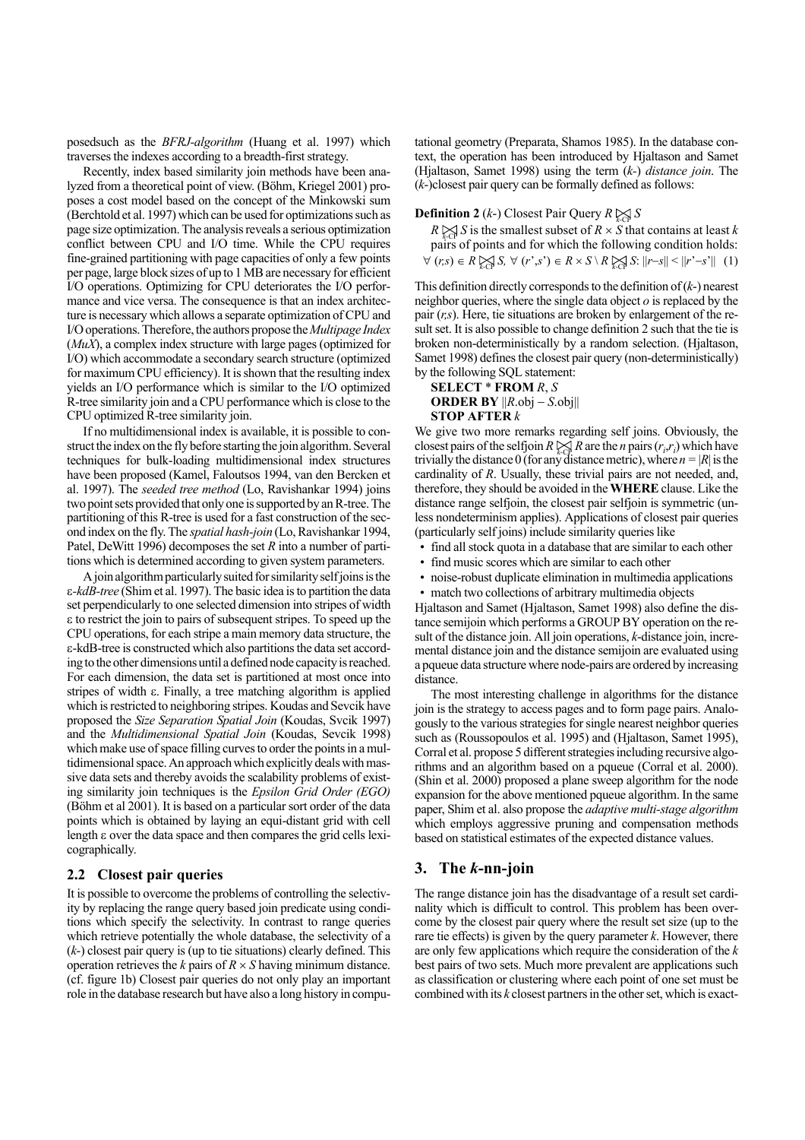posedsuch as the *BFRJ-algorithm* (Huang et al. 1997) which traverses the indexes according to a breadth-first strategy.

Recently, index based similarity join methods have been analyzed from a theoretical point of view. (Böhm, Kriegel 2001) proposes a cost model based on the concept of the Minkowski sum (Berchtold et al. 1997) which can be used for optimizations such as page size optimization. The analysis reveals a serious optimization conflict between CPU and I/O time. While the CPU requires fine-grained partitioning with page capacities of only a few points per page, large block sizes of up to 1 MB are necessary for efficient I/O operations. Optimizing for CPU deteriorates the I/O performance and vice versa. The consequence is that an index architecture is necessary which allows a separate optimization of CPU and I/O operations. Therefore, the authors propose the *Multipage Index* (*MuX*), a complex index structure with large pages (optimized for I/O) which accommodate a secondary search structure (optimized for maximum CPU efficiency). It is shown that the resulting index yields an I/O performance which is similar to the I/O optimized R-tree similarity join and a CPU performance which is close to the CPU optimized R-tree similarity join.

If no multidimensional index is available, it is possible to construct the index on the fly before starting the join algorithm. Several techniques for bulk-loading multidimensional index structures have been proposed (Kamel, Faloutsos 1994, van den Bercken et al. 1997). The *seeded tree method* (Lo, Ravishankar 1994) joins two point sets provided that only one is supported by an R-tree. The partitioning of this R-tree is used for a fast construction of the second index on the fly. The *spatial hash-join* (Lo, Ravishankar 1994, Patel, DeWitt 1996) decomposes the set *R* into a number of partitions which is determined according to given system parameters.

A join algorithm particularly suited for similarity self joins is the ε*-kdB-tree* (Shim et al. 1997). The basic idea is to partition the data set perpendicularly to one selected dimension into stripes of width ε to restrict the join to pairs of subsequent stripes. To speed up the CPU operations, for each stripe a main memory data structure, the ε-kdB-tree is constructed which also partitions the data set according to the other dimensions until a defined node capacity is reached. For each dimension, the data set is partitioned at most once into stripes of width ε. Finally, a tree matching algorithm is applied which is restricted to neighboring stripes. Koudas and Sevcik have proposed the *Size Separation Spatial Join* (Koudas, Svcik 1997) and the *Multidimensional Spatial Join* (Koudas, Sevcik 1998) which make use of space filling curves to order the points in a multidimensional space. An approach which explicitly deals with massive data sets and thereby avoids the scalability problems of existing similarity join techniques is the *Epsilon Grid Order (EGO)* (Böhm et al 2001). It is based on a particular sort order of the data points which is obtained by laying an equi-distant grid with cell length ε over the data space and then compares the grid cells lexicographically.

### **2.2 Closest pair queries**

It is possible to overcome the problems of controlling the selectivity by replacing the range query based join predicate using conditions which specify the selectivity. In contrast to range queries which retrieve potentially the whole database, the selectivity of a (*k*-) closest pair query is (up to tie situations) clearly defined. This operation retrieves the *k* pairs of  $R \times S$  having minimum distance. (cf. figure 1b) Closest pair queries do not only play an important role in the database research but have also a long history in computational geometry (Preparata, Shamos 1985). In the database context, the operation has been introduced by Hjaltason and Samet (Hjaltason, Samet 1998) using the term (*k-*) *distance join*. The (*k*-)closest pair query can be formally defined as follows:

# **Definition 2** (*k*-) Closest Pair Query *R*  $\underset{k \in \mathbb{N}}{\bowtie} S$

 $R \geq S$  is the smallest subset of  $R \times S$  that contains at least k pairs of points and for which the following condition holds: *k*-CP  $∀ (r,s) ∈ R ⪯_{k\in\mathbb{P}} S, ∀ (r\cdot,s\cdot) ∈ R × S \setminus R ⋯_{k\in\mathbb{P}} S: ||r-s|| < ||r\cdot-s\cdot||$  (1)

This definition directly corresponds to the definition of (*k*-) nearest neighbor queries, where the single data object *o* is replaced by the pair (*r,s*). Here, tie situations are broken by enlargement of the result set. It is also possible to change definition 2 such that the tie is broken non-deterministically by a random selection. (Hjaltason, Samet 1998) defines the closest pair query (non-deterministically) by the following SQL statement:

#### **SELECT** \* **FROM** *R*, *S* **ORDER BY** ||*R*.obj − *S*.obj|| **STOP AFTER** *k*

We give two more remarks regarding self joins. Obviously, the closest pairs of the selfjoin  $R \succeq R$  are the *n* pairs  $(r_i, r_i)$  which have trivially the distance 0 (for any distance metric), where  $n = |R|$  is the cardinality of *R*. Usually, these trivial pairs are not needed, and, therefore, they should be avoided in the **WHERE** clause. Like the distance range selfjoin, the closest pair selfjoin is symmetric (unless nondeterminism applies). Applications of closest pair queries (particularly self joins) include similarity queries like

- find all stock quota in a database that are similar to each other
- find music scores which are similar to each other
- noise-robust duplicate elimination in multimedia applications
- match two collections of arbitrary multimedia objects

Hjaltason and Samet (Hjaltason, Samet 1998) also define the distance semijoin which performs a GROUP BY operation on the result of the distance join. All join operations, *k*-distance join, incremental distance join and the distance semijoin are evaluated using a pqueue data structure where node-pairs are ordered by increasing distance.

The most interesting challenge in algorithms for the distance join is the strategy to access pages and to form page pairs. Analogously to the various strategies for single nearest neighbor queries such as (Roussopoulos et al. 1995) and (Hjaltason, Samet 1995), Corral et al. propose 5 different strategies including recursive algorithms and an algorithm based on a pqueue (Corral et al. 2000). (Shin et al. 2000) proposed a plane sweep algorithm for the node expansion for the above mentioned pqueue algorithm. In the same paper, Shim et al. also propose the *adaptive multi-stage algorithm* which employs aggressive pruning and compensation methods based on statistical estimates of the expected distance values.

### **3. The** *k***-nn-join**

The range distance join has the disadvantage of a result set cardinality which is difficult to control. This problem has been overcome by the closest pair query where the result set size (up to the rare tie effects) is given by the query parameter *k*. However, there are only few applications which require the consideration of the *k* best pairs of two sets. Much more prevalent are applications such as classification or clustering where each point of one set must be combined with its *k* closest partners in the other set, which is exact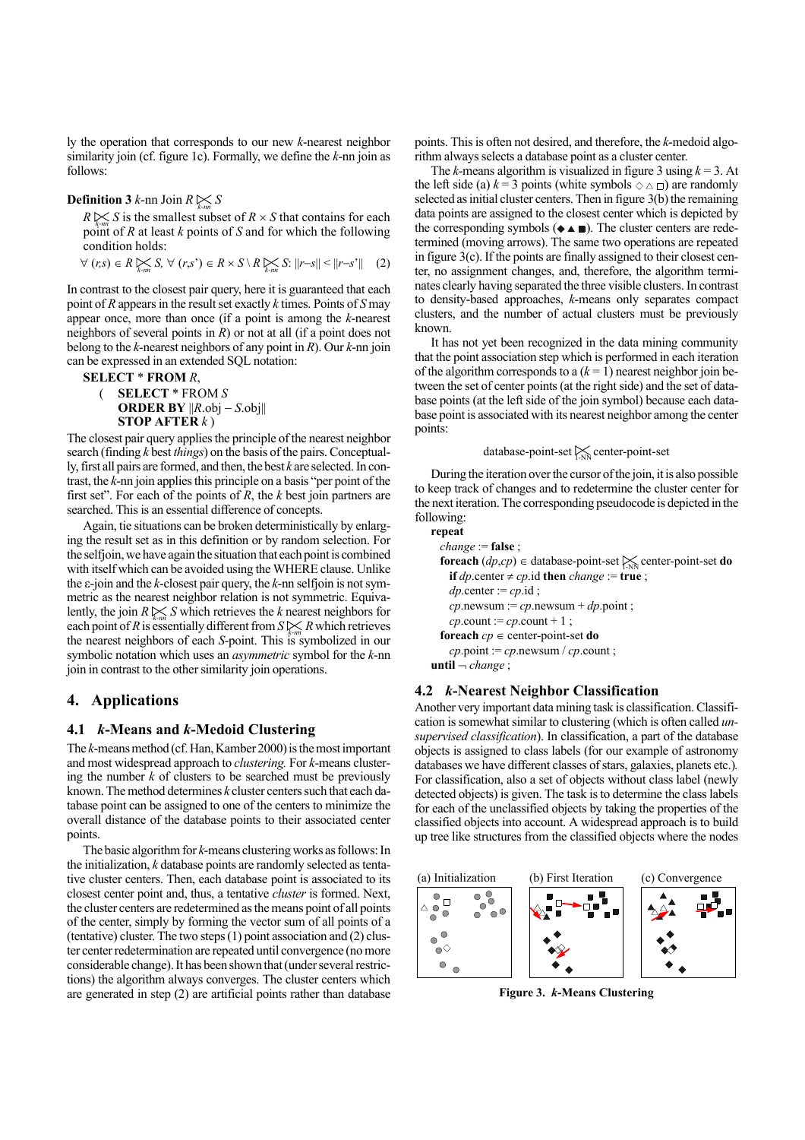ly the operation that corresponds to our new *k*-nearest neighbor similarity join (cf. figure 1c). Formally, we define the *k*-nn join as follows:

# **Definition 3** *k*-nn Join  $R \not\hspace{-1.2pt}\swarrow_{k\text{-}nn} S$

 $R \ge S$  is the smallest subset of  $R \times S$  that contains for each point of *R* at least *k* points of *S* and for which the following condition holds:

$$
\forall (r,s) \in R \underset{k\text{-}nn}{\triangleright} S, \forall (r,s') \in R \times S \setminus R \underset{k\text{-}nn}{\triangleright} S: ||r-s|| < ||r-s'|| \quad (2)
$$

In contrast to the closest pair query, here it is guaranteed that each point of *R* appears in the result set exactly *k* times. Points of *S* may appear once, more than once (if a point is among the *k*-nearest neighbors of several points in *R*) or not at all (if a point does not belong to the *k-*nearest neighbors of any point in *R*). Our *k*-nn join can be expressed in an extended SQL notation:

$$
SELECT * FROM R,
$$

( **SELECT** \* FROM *S* **ORDER BY** ||*R*.obj − *S*.obj|| **STOP AFTER** *k* )

The closest pair query applies the principle of the nearest neighbor search (finding *k* best *things*) on the basis of the pairs. Conceptually, first all pairs are formed, and then, the best *k* are selected. In contrast, the *k*-nn join applies this principle on a basis "per point of the first set". For each of the points of *R*, the *k* best join partners are searched. This is an essential difference of concepts.

Again, tie situations can be broken deterministically by enlarging the result set as in this definition or by random selection. For the selfjoin, we have again the situation that each point is combined with itself which can be avoided using the WHERE clause. Unlike the ε-join and the *k*-closest pair query, the *k*-nn selfjoin is not symmetric as the nearest neighbor relation is not symmetric. Equivalently, the join  $R \underset{k=m}{\times} S$  which retrieves the *k* nearest neighbors for each point of *R* is essentially different from  $S \underset{k \text{--}nn}{\triangleright} R$  which retrieves the nearest neighbors of each *S*-point. This is symbolized in our symbolic notation which uses an *asymmetric* symbol for the *k*-nn join in contrast to the other similarity join operations.

# **4. Applications**

### **4.1** *k***-Means and** *k***-Medoid Clustering**

The *k*-means method (cf. Han, Kamber 2000) is the most important and most widespread approach to *clustering.* For *k*-means clustering the number  $k$  of clusters to be searched must be previously known. The method determines *k* cluster centers such that each database point can be assigned to one of the centers to minimize the overall distance of the database points to their associated center points.

The basic algorithm for *k*-means clustering works as follows: In the initialization, *k* database points are randomly selected as tentative cluster centers. Then, each database point is associated to its closest center point and, thus, a tentative *cluster* is formed. Next, the cluster centers are redetermined as the means point of all points of the center, simply by forming the vector sum of all points of a (tentative) cluster. The two steps (1) point association and (2) cluster center redetermination are repeated until convergence (no more considerable change). It has been shown that (under several restrictions) the algorithm always converges. The cluster centers which are generated in step (2) are artificial points rather than database

points. This is often not desired, and therefore, the *k*-medoid algorithm always selects a database point as a cluster center.

The *k*-means algorithm is visualized in figure 3 using  $k = 3$ . At the left side (a)  $k = 3$  points (white symbols  $\Diamond \triangle \Box$ ) are randomly selected as initial cluster centers. Then in figure 3(b) the remaining data points are assigned to the closest center which is depicted by the corresponding symbols  $(\triangle \blacksquare)$ . The cluster centers are redetermined (moving arrows). The same two operations are repeated in figure 3(c). If the points are finally assigned to their closest center, no assignment changes, and, therefore, the algorithm terminates clearly having separated the three visible clusters. In contrast to density-based approaches, *k*-means only separates compact clusters, and the number of actual clusters must be previously known.

It has not yet been recognized in the data mining community that the point association step which is performed in each iteration of the algorithm corresponds to a  $(k = 1)$  nearest neighbor join between the set of center points (at the right side) and the set of database points (at the left side of the join symbol) because each database point is associated with its nearest neighbor among the center points:

# database-point-set  $\sum_{NN}$  center-point-set

During the iteration over the cursor of the join, it is also possible to keep track of changes and to redetermine the cluster center for the next iteration. The corresponding pseudocode is depicted in the following:

```
repeat
  change := false ;
  foreach (dp, cp) \in database-point-set \bigtimes_{\text{NN}} center-point-set do
    if dp center \neq cp id then change := \mathbf{true};
    dp.center := cp.id;
    cp.newsum := cp.newsum + dp.point ;
    cp.count := cp.count + 1;
  foreach cp \in center-point-set do
    cp.point := cp.newsum / cp.count ;
until ¬ change ;
```
### **4.2** *k***-Nearest Neighbor Classification**

Another very important data mining task is classification. Classification is somewhat similar to clustering (which is often called *unsupervised classification*). In classification, a part of the database objects is assigned to class labels (for our example of astronomy databases we have different classes of stars, galaxies, planets etc.)*.* For classification, also a set of objects without class label (newly detected objects) is given. The task is to determine the class labels for each of the unclassified objects by taking the properties of the classified objects into account. A widespread approach is to build up tree like structures from the classified objects where the nodes



**Figure 3.** *k***-Means Clustering**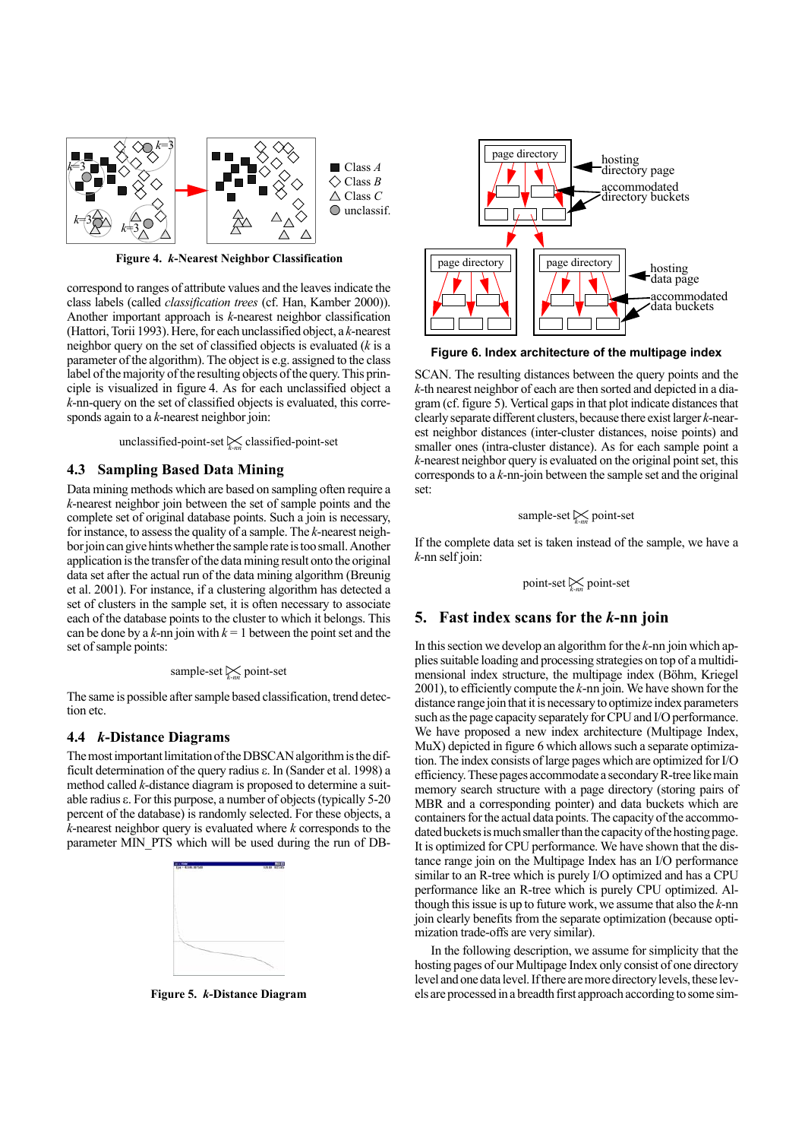

**Figure 4.** *k***-Nearest Neighbor Classification**

correspond to ranges of attribute values and the leaves indicate the class labels (called *classification trees* (cf. Han, Kamber 2000)). Another important approach is *k*-nearest neighbor classification (Hattori, Torii 1993). Here, for each unclassified object, a *k*-nearest neighbor query on the set of classified objects is evaluated (*k* is a parameter of the algorithm). The object is e.g. assigned to the class label of the majority of the resulting objects of the query.This principle is visualized in figure 4. As for each unclassified object a *k*-nn-query on the set of classified objects is evaluated, this corresponds again to a *k*-nearest neighbor join:

unclassified-point-set  $\sum_{k\text{-}nn}$  classified-point-set

# **4.3 Sampling Based Data Mining**

Data mining methods which are based on sampling often require a *k*-nearest neighbor join between the set of sample points and the complete set of original database points. Such a join is necessary, for instance, to assess the quality of a sample. The *k*-nearest neighbor join can give hints whether the sample rate is too small. Another application is the transfer of the data mining result onto the original data set after the actual run of the data mining algorithm (Breunig et al. 2001). For instance, if a clustering algorithm has detected a set of clusters in the sample set, it is often necessary to associate each of the database points to the cluster to which it belongs. This can be done by a  $k$ -nn join with  $k = 1$  between the point set and the set of sample points:

sample-set  $\sum_{k-m}$  point-set

The same is possible after sample based classification, trend detection etc.

# **4.4** *k***-Distance Diagrams**

The most important limitation of the DBSCAN algorithm is the difficult determination of the query radius ε. In (Sander et al. 1998) a method called *k*-distance diagram is proposed to determine a suitable radius ε. For this purpose, a number of objects (typically 5-20 percent of the database) is randomly selected. For these objects, a *k*-nearest neighbor query is evaluated where *k* corresponds to the parameter MIN\_PTS which will be used during the run of DB-



**Figure 5.** *k***-Distance Diagram**



**Figure 6. Index architecture of the multipage index**

SCAN. The resulting distances between the query points and the *k*-th nearest neighbor of each are then sorted and depicted in a diagram (cf. figure 5). Vertical gaps in that plot indicate distances that clearly separate different clusters, because there exist larger *k*-nearest neighbor distances (inter-cluster distances, noise points) and smaller ones (intra-cluster distance). As for each sample point a *k*-nearest neighbor query is evaluated on the original point set, this corresponds to a *k*-nn-join between the sample set and the original set:

sample-set 
$$
\underset{k\text{-}nn}{\sum}
$$
 point-set

If the complete data set is taken instead of the sample, we have a *k*-nn self join:

point-set  $\sum_{k\text{-}nn}$  point-set

# **5. Fast index scans for the** *k***-nn join**

In this section we develop an algorithm for the *k*-nn join which applies suitable loading and processing strategies on top of a multidimensional index structure, the multipage index (Böhm, Kriegel 2001), to efficiently compute the *k*-nn join. We have shown for the distance range join that it is necessary to optimize index parameters such as the page capacity separately for CPU and I/O performance. We have proposed a new index architecture (Multipage Index, MuX) depicted in figure 6 which allows such a separate optimization. The index consists of large pages which are optimized for I/O efficiency. These pages accommodate a secondary R-tree like main memory search structure with a page directory (storing pairs of MBR and a corresponding pointer) and data buckets which are containers for the actual data points. The capacity of the accommodated buckets is much smaller than the capacity of the hosting page. It is optimized for CPU performance. We have shown that the distance range join on the Multipage Index has an I/O performance similar to an R-tree which is purely I/O optimized and has a CPU performance like an R-tree which is purely CPU optimized. Although this issue is up to future work, we assume that also the *k*-nn join clearly benefits from the separate optimization (because optimization trade-offs are very similar).

In the following description, we assume for simplicity that the hosting pages of our Multipage Index only consist of one directory level and one data level. If there are more directory levels, these levels are processed in a breadth first approach according to some sim-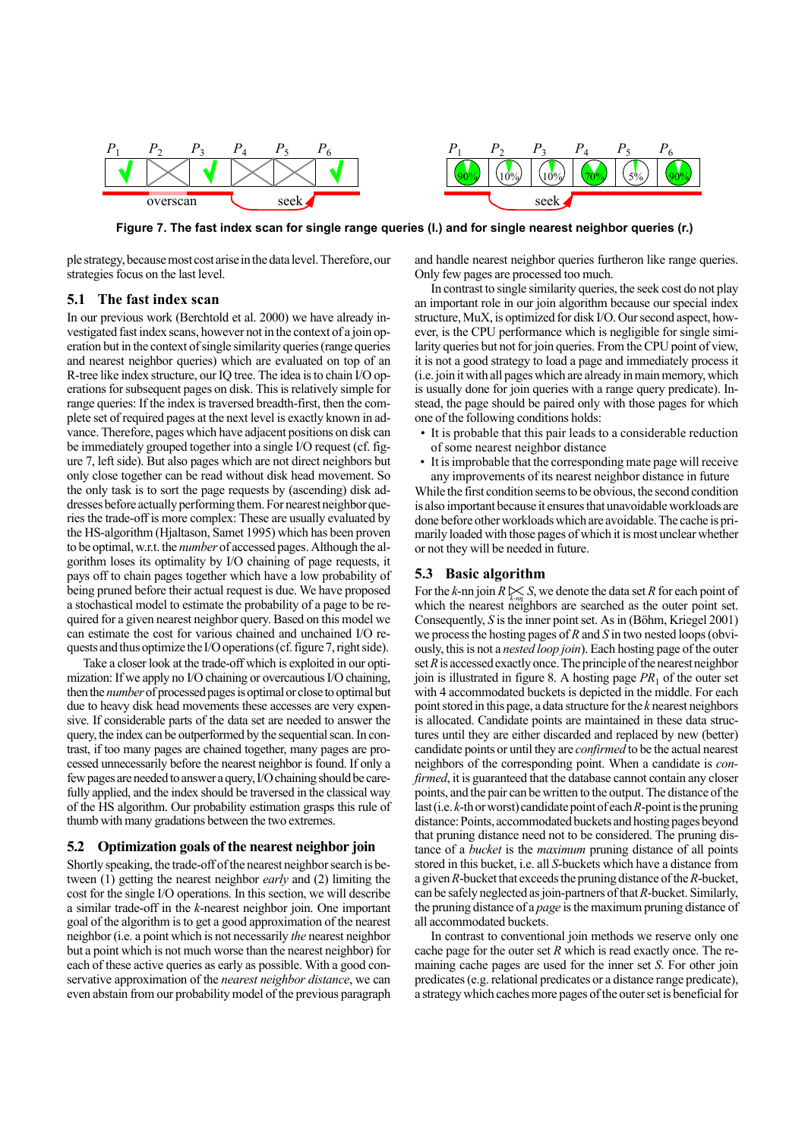

**Figure 7. The fast index scan for single range queries (l.) and for single nearest neighbor queries (r.)**

ple strategy, because most cost arise in the data level. Therefore, our strategies focus on the last level.

### **5.1 The fast index scan**

In our previous work (Berchtold et al. 2000) we have already investigated fast index scans, however not in the context of a join operation but in the context of single similarity queries (range queries and nearest neighbor queries) which are evaluated on top of an R-tree like index structure, our IQ tree. The idea is to chain I/O operations for subsequent pages on disk. This is relatively simple for range queries: If the index is traversed breadth-first, then the complete set of required pages at the next level is exactly known in advance. Therefore, pages which have adjacent positions on disk can be immediately grouped together into a single I/O request (cf. figure 7, left side). But also pages which are not direct neighbors but only close together can be read without disk head movement. So the only task is to sort the page requests by (ascending) disk addresses before actually performing them. For nearest neighbor queries the trade-off is more complex: These are usually evaluated by the HS-algorithm (Hjaltason, Samet 1995) which has been proven to be optimal, w.r.t. the *number* of accessed pages. Although the algorithm loses its optimality by I/O chaining of page requests, it pays off to chain pages together which have a low probability of being pruned before their actual request is due. We have proposed a stochastical model to estimate the probability of a page to be required for a given nearest neighbor query. Based on this model we can estimate the cost for various chained and unchained I/O requests and thus optimize the I/O operations (cf. figure 7, right side).

Take a closer look at the trade-off which is exploited in our optimization: If we apply no I/O chaining or overcautious I/O chaining, then the *number* of processed pages is optimal or close to optimal but due to heavy disk head movements these accesses are very expensive. If considerable parts of the data set are needed to answer the query, the index can be outperformed by the sequential scan. In contrast, if too many pages are chained together, many pages are processed unnecessarily before the nearest neighbor is found. If only a few pages are needed to answer a query, I/O chaining should be carefully applied, and the index should be traversed in the classical way of the HS algorithm. Our probability estimation grasps this rule of thumb with many gradations between the two extremes.

### **5.2 Optimization goals of the nearest neighbor join**

Shortly speaking, the trade-off of the nearest neighbor search is between (1) getting the nearest neighbor *early* and (2) limiting the cost for the single I/O operations. In this section, we will describe a similar trade-off in the *k*-nearest neighbor join. One important goal of the algorithm is to get a good approximation of the nearest neighbor (i.e. a point which is not necessarily *the* nearest neighbor but a point which is not much worse than the nearest neighbor) for each of these active queries as early as possible. With a good conservative approximation of the *nearest neighbor distance*, we can even abstain from our probability model of the previous paragraph and handle nearest neighbor queries furtheron like range queries. Only few pages are processed too much.

In contrast to single similarity queries, the seek cost do not play an important role in our join algorithm because our special index structure, MuX, is optimized for disk I/O. Our second aspect, however, is the CPU performance which is negligible for single similarity queries but not for join queries. From the CPU point of view, it is not a good strategy to load a page and immediately process it (i.e. join it with all pages which are already in main memory, which is usually done for join queries with a range query predicate). Instead, the page should be paired only with those pages for which one of the following conditions holds:

- It is probable that this pair leads to a considerable reduction of some nearest neighbor distance
- It is improbable that the corresponding mate page will receive any improvements of its nearest neighbor distance in future

While the first condition seems to be obvious, the second condition is also important because it ensures that unavoidable workloads are done before other workloads which are avoidable. The cache is primarily loaded with those pages of which it is most unclear whether or not they will be needed in future.

#### **5.3 Basic algorithm**

For the *k*-nn join  $R \not\gtrsim S$ , we denote the data set *R* for each point of which the nearest neighbors are searched as the outer point set. Consequently, *S* is the inner point set. As in (Böhm, Kriegel 2001) we process the hosting pages of *R* and *S* in two nested loops (obviously, this is not a *nested loop join*). Each hosting page of the outer set *R* is accessed exactly once. The principle of the nearest neighbor join is illustrated in figure 8. A hosting page  $PR_1$  of the outer set with 4 accommodated buckets is depicted in the middle. For each point stored in this page, a data structure for the *k* nearest neighbors is allocated. Candidate points are maintained in these data structures until they are either discarded and replaced by new (better) candidate points or until they are *confirmed* to be the actual nearest neighbors of the corresponding point. When a candidate is *confirmed*, it is guaranteed that the database cannot contain any closer points, and the pair can be written to the output. The distance of the last (i.e. *k*-th or worst) candidate point of each *R*-point is the pruning distance: Points, accommodated buckets and hosting pages beyond that pruning distance need not to be considered. The pruning distance of a *bucket* is the *maximum* pruning distance of all points stored in this bucket, i.e. all *S*-buckets which have a distance from a given *R*-bucket that exceeds the pruning distance of the *R*-bucket, can be safely neglected as join-partners of that *R*-bucket. Similarly, the pruning distance of a *page* is the maximum pruning distance of all accommodated buckets.

In contrast to conventional join methods we reserve only one cache page for the outer set  $R$  which is read exactly once. The remaining cache pages are used for the inner set *S*. For other join predicates (e.g. relational predicates or a distance range predicate), a strategy which caches more pages of the outer set is beneficial for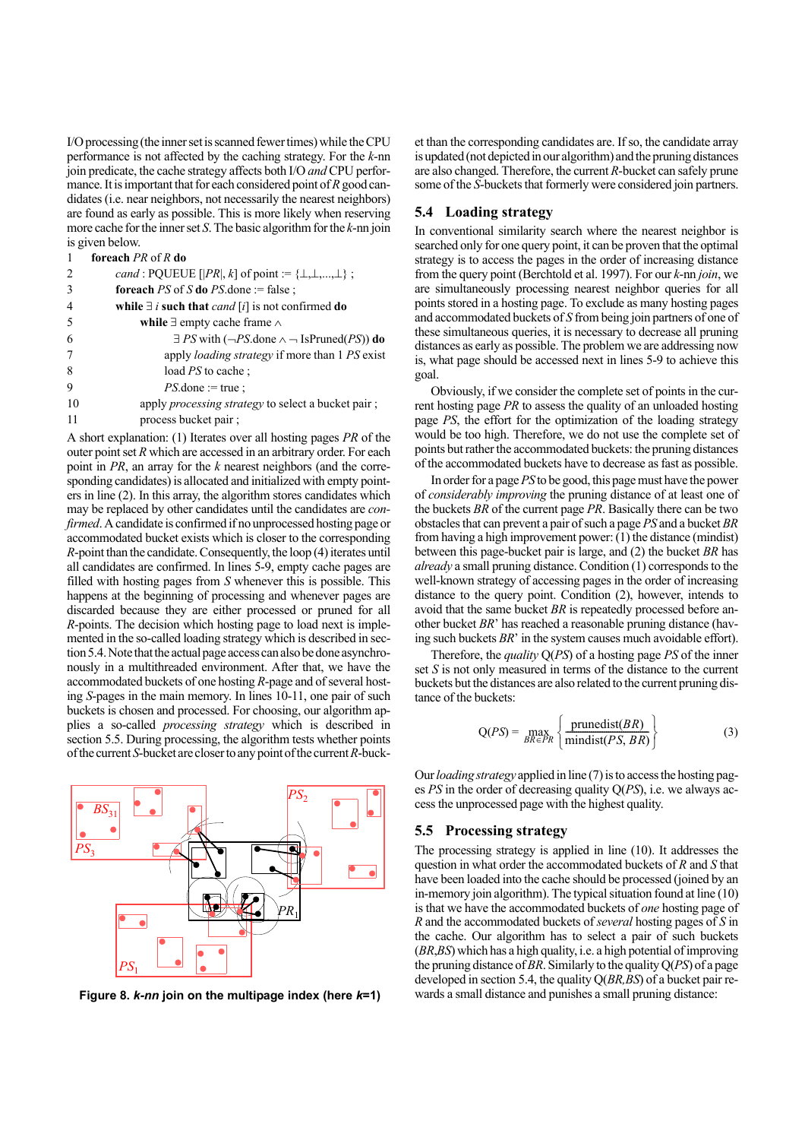I/O processing (the inner set is scanned fewer times) while the CPU performance is not affected by the caching strategy. For the *k*-nn join predicate, the cache strategy affects both I/O *and* CPU performance. It is important that for each considered point of *R* good candidates (i.e. near neighbors, not necessarily the nearest neighbors) are found as early as possible. This is more likely when reserving more cache for the inner set *S*. The basic algorithm for the *k*-nn join is given below.

|    | <b>foreach</b> $PR$ of $R$ do                                                                  |
|----|------------------------------------------------------------------------------------------------|
| 2  | <i>cand</i> : PQUEUE [  <i>PR</i>  , <i>k</i> ] of point := { $\perp$ , $\perp$ ,, $\perp$ } ; |
| 3  | <b>foreach</b> <i>PS</i> of <i>S</i> <b>do</b> <i>PS</i> .done := false :                      |
| 4  | while $\exists$ <i>i</i> such that <i>cand</i> [ <i>i</i> ] is not confirmed <b>do</b>         |
| -5 | while $\exists$ empty cache frame $\wedge$                                                     |
| 6  | $\exists PS$ with $(\neg PS$ done $\land \neg$ IsPruned( <i>PS</i> )) do                       |
| -7 | apply <i>loading strategy</i> if more than 1 PS exist                                          |
| 8  | load $PS$ to cache:                                                                            |
| 9  | $PS$ done := true :                                                                            |
| 10 | apply <i>processing strategy</i> to select a bucket pair;                                      |
| 11 | process bucket pair;                                                                           |
|    |                                                                                                |

A short explanation: (1) Iterates over all hosting pages *PR* of the outer point set *R* which are accessed in an arbitrary order. For each point in *PR*, an array for the *k* nearest neighbors (and the corresponding candidates) is allocated and initialized with empty pointers in line (2). In this array, the algorithm stores candidates which may be replaced by other candidates until the candidates are *confirmed*. A candidate is confirmed if no unprocessed hosting page or accommodated bucket exists which is closer to the corresponding *R*-point than the candidate. Consequently, the loop (4) iterates until all candidates are confirmed. In lines 5-9, empty cache pages are filled with hosting pages from *S* whenever this is possible. This happens at the beginning of processing and whenever pages are discarded because they are either processed or pruned for all *R*-points. The decision which hosting page to load next is implemented in the so-called loading strategy which is described in section 5.4. Note that the actual page access can also be done asynchronously in a multithreaded environment. After that, we have the accommodated buckets of one hosting *R*-page and of several hosting *S*-pages in the main memory. In lines 10-11, one pair of such buckets is chosen and processed. For choosing, our algorithm applies a so-called *processing strategy* which is described in section 5.5. During processing, the algorithm tests whether points of the current *S*-bucket are closer to any point of the current *R*-buck-



**Figure 8.** *k-nn* **join on the multipage index (here** *k***=1)**

et than the corresponding candidates are. If so, the candidate array is updated (not depicted in our algorithm) and the pruning distances are also changed. Therefore, the current *R*-bucket can safely prune some of the *S*-buckets that formerly were considered join partners.

### **5.4 Loading strategy**

In conventional similarity search where the nearest neighbor is searched only for one query point, it can be proven that the optimal strategy is to access the pages in the order of increasing distance from the query point (Berchtold et al. 1997). For our *k*-nn *join*, we are simultaneously processing nearest neighbor queries for all points stored in a hosting page. To exclude as many hosting pages and accommodated buckets of *S* from being join partners of one of these simultaneous queries, it is necessary to decrease all pruning distances as early as possible. The problem we are addressing now is, what page should be accessed next in lines 5-9 to achieve this goal.

Obviously, if we consider the complete set of points in the current hosting page *PR* to assess the quality of an unloaded hosting page *PS*, the effort for the optimization of the loading strategy would be too high. Therefore, we do not use the complete set of points but rather the accommodated buckets: the pruning distances of the accommodated buckets have to decrease as fast as possible.

In order for a page *PS* to be good, this page must have the power of *considerably improving* the pruning distance of at least one of the buckets *BR* of the current page *PR*. Basically there can be two obstacles that can prevent a pair of such a page *PS* and a bucket *BR* from having a high improvement power: (1) the distance (mindist) between this page-bucket pair is large, and (2) the bucket *BR* has *already* a small pruning distance. Condition (1) corresponds to the well-known strategy of accessing pages in the order of increasing distance to the query point. Condition (2), however, intends to avoid that the same bucket *BR* is repeatedly processed before another bucket *BR*' has reached a reasonable pruning distance (having such buckets *BR*' in the system causes much avoidable effort).

Therefore, the *quality* Q(*PS*) of a hosting page *PS* of the inner set *S* is not only measured in terms of the distance to the current buckets but the distances are also related to the current pruning distance of the buckets:

$$
Q(PS) = \max_{BR \in PR} \left\{ \frac{\text{prunedist}(BR)}{\text{mindist}(PS, BR)} \right\}
$$
(3)

Our *loading strategy* applied in line (7) is to access the hosting pages *PS* in the order of decreasing quality Q(*PS*), i.e. we always access the unprocessed page with the highest quality.

### **5.5 Processing strategy**

The processing strategy is applied in line (10). It addresses the question in what order the accommodated buckets of *R* and *S* that have been loaded into the cache should be processed (joined by an in-memory join algorithm). The typical situation found at line (10) is that we have the accommodated buckets of *one* hosting page of *R* and the accommodated buckets of *several* hosting pages of *S* in the cache. Our algorithm has to select a pair of such buckets (*BR*,*BS*) which has a high quality, i.e. a high potential of improving the pruning distance of *BR*. Similarly to the quality Q(*PS*) of a page developed in section 5.4, the quality Q(*BR,BS*) of a bucket pair rewards a small distance and punishes a small pruning distance: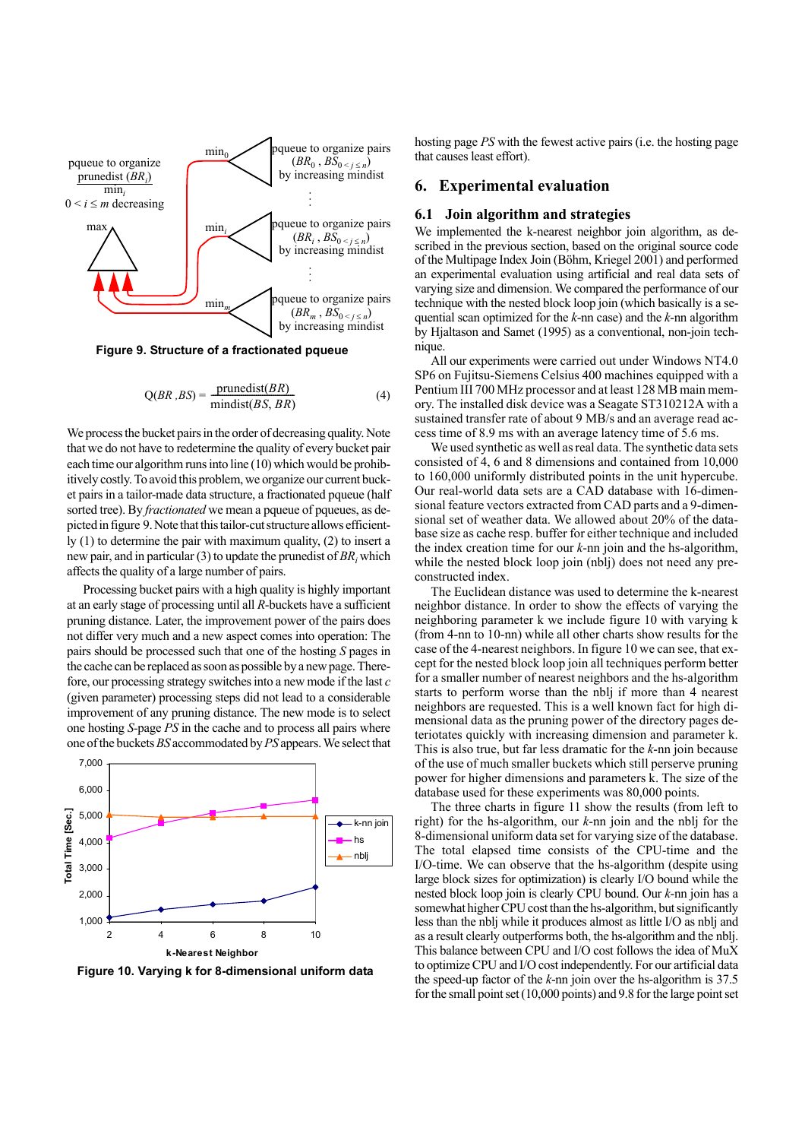

**Figure 9. Structure of a fractionated pqueue**

$$
Q(BR, BS) = \frac{\text{prunedist}(BR)}{\text{mindist}(BS, BR)}\tag{4}
$$

We process the bucket pairs in the order of decreasing quality. Note that we do not have to redetermine the quality of every bucket pair each time our algorithm runs into line (10) which would be prohibitively costly. To avoid this problem, we organize our current bucket pairs in a tailor-made data structure, a fractionated pqueue (half sorted tree). By *fractionated* we mean a pqueue of pqueues, as depicted in figure 9. Note that this tailor-cut structure allows efficiently (1) to determine the pair with maximum quality, (2) to insert a new pair, and in particular  $(3)$  to update the prunedist of  $BR<sub>i</sub>$  which affects the quality of a large number of pairs.

Processing bucket pairs with a high quality is highly important at an early stage of processing until all *R*-buckets have a sufficient pruning distance. Later, the improvement power of the pairs does not differ very much and a new aspect comes into operation: The pairs should be processed such that one of the hosting *S* pages in the cache can be replaced as soon as possible by a new page. Therefore, our processing strategy switches into a new mode if the last *c* (given parameter) processing steps did not lead to a considerable improvement of any pruning distance. The new mode is to select one hosting *S-*page *PS* in the cache and to process all pairs where one of the buckets *BS* accommodated by *PS* appears. We select that



**Figure 10. Varying k for 8-dimensional uniform data**

hosting page *PS* with the fewest active pairs (i.e. the hosting page that causes least effort).

## **6. Experimental evaluation**

#### **6.1 Join algorithm and strategies**

We implemented the k-nearest neighbor join algorithm, as described in the previous section, based on the original source code of the Multipage Index Join (Böhm, Kriegel 2001) and performed an experimental evaluation using artificial and real data sets of varying size and dimension. We compared the performance of our technique with the nested block loop join (which basically is a sequential scan optimized for the *k*-nn case) and the *k*-nn algorithm by Hjaltason and Samet (1995) as a conventional, non-join technique.

All our experiments were carried out under Windows NT4.0 SP6 on Fujitsu-Siemens Celsius 400 machines equipped with a Pentium III 700 MHz processor and at least 128 MB main memory. The installed disk device was a Seagate ST310212A with a sustained transfer rate of about 9 MB/s and an average read access time of 8.9 ms with an average latency time of 5.6 ms.

We used synthetic as well as real data. The synthetic data sets consisted of 4, 6 and 8 dimensions and contained from 10,000 to 160,000 uniformly distributed points in the unit hypercube. Our real-world data sets are a CAD database with 16-dimensional feature vectors extracted from CAD parts and a 9-dimensional set of weather data. We allowed about 20% of the database size as cache resp. buffer for either technique and included the index creation time for our *k*-nn join and the hs-algorithm, while the nested block loop join (nblj) does not need any preconstructed index.

The Euclidean distance was used to determine the k-nearest neighbor distance. In order to show the effects of varying the neighboring parameter k we include figure 10 with varying k (from 4-nn to 10-nn) while all other charts show results for the case of the 4-nearest neighbors. In figure 10 we can see, that except for the nested block loop join all techniques perform better for a smaller number of nearest neighbors and the hs-algorithm starts to perform worse than the nblj if more than 4 nearest neighbors are requested. This is a well known fact for high dimensional data as the pruning power of the directory pages deteriotates quickly with increasing dimension and parameter k. This is also true, but far less dramatic for the *k*-nn join because of the use of much smaller buckets which still perserve pruning power for higher dimensions and parameters k. The size of the database used for these experiments was 80,000 points.

The three charts in figure 11 show the results (from left to right) for the hs-algorithm, our *k*-nn join and the nblj for the 8-dimensional uniform data set for varying size of the database. The total elapsed time consists of the CPU-time and the I/O-time. We can observe that the hs-algorithm (despite using large block sizes for optimization) is clearly I/O bound while the nested block loop join is clearly CPU bound. Our *k*-nn join has a somewhat higher CPU cost than the hs-algorithm, but significantly less than the nblj while it produces almost as little I/O as nblj and as a result clearly outperforms both, the hs-algorithm and the nblj. This balance between CPU and I/O cost follows the idea of MuX to optimize CPU and I/O cost independently. For our artificial data the speed-up factor of the *k*-nn join over the hs-algorithm is 37.5 for the small point set (10,000 points) and 9.8 for the large point set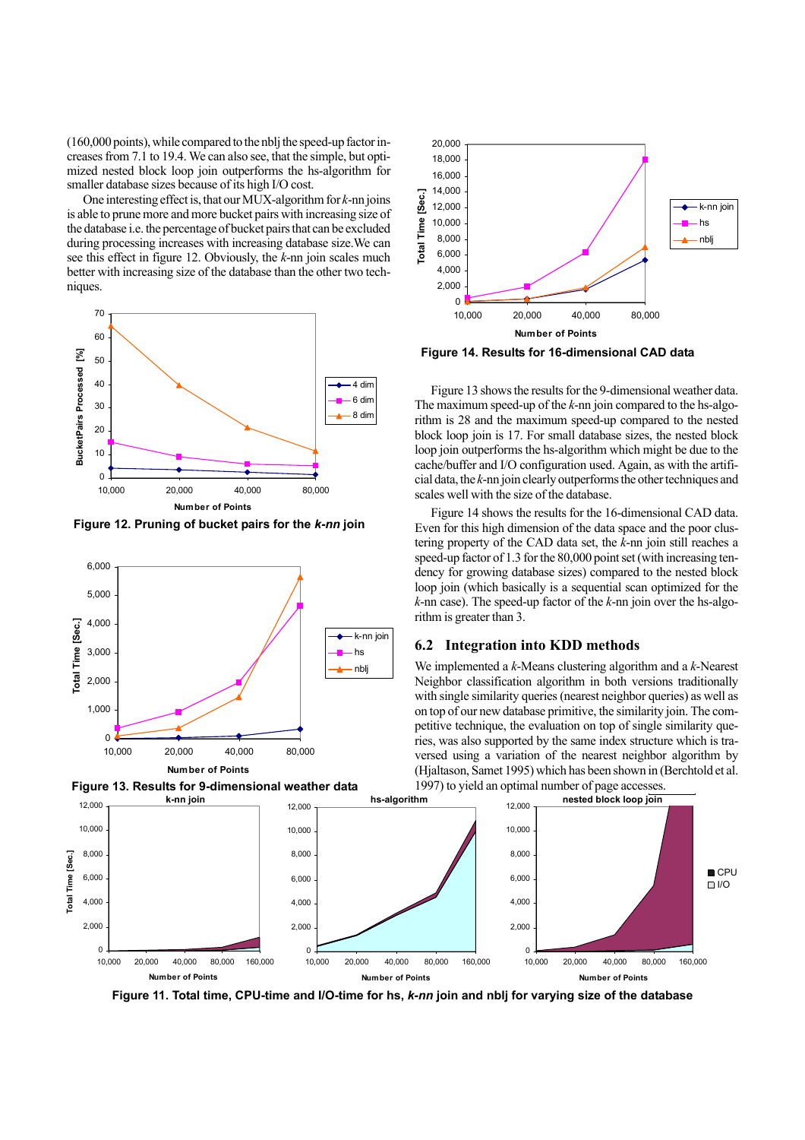(160,000 points), while compared to the nblj the speed-up factor increases from 7.1 to 19.4. We can also see, that the simple, but optimized nested block loop join outperforms the hs-algorithm for smaller database sizes because of its high I/O cost.

One interesting effect is, that our MUX-algorithm for *k*-nn joins is able to prune more and more bucket pairs with increasing size of the database i.e. the percentage of bucket pairs that can be excluded during processing increases with increasing database size.We can see this effect in figure 12. Obviously, the *k*-nn join scales much better with increasing size of the database than the other two techniques.



**Figure 12. Pruning of bucket pairs for the** *k-nn* **join**







**Figure 14. Results for 16-dimensional CAD data**

Figure 13 shows the results for the 9-dimensional weather data. The maximum speed-up of the *k*-nn join compared to the hs-algorithm is 28 and the maximum speed-up compared to the nested block loop join is 17. For small database sizes, the nested block loop join outperforms the hs-algorithm which might be due to the cache/buffer and I/O configuration used. Again, as with the artificial data, the *k*-nn join clearly outperforms the other techniques and scales well with the size of the database.

Figure 14 shows the results for the 16-dimensional CAD data. Even for this high dimension of the data space and the poor clustering property of the CAD data set, the *k*-nn join still reaches a speed-up factor of 1.3 for the 80,000 point set (with increasing tendency for growing database sizes) compared to the nested block loop join (which basically is a sequential scan optimized for the *k*-nn case). The speed-up factor of the *k*-nn join over the hs-algorithm is greater than 3.

### **6.2 Integration into KDD methods**

We implemented a *k*-Means clustering algorithm and a *k*-Nearest Neighbor classification algorithm in both versions traditionally with single similarity queries (nearest neighbor queries) as well as on top of our new database primitive, the similarity join. The competitive technique, the evaluation on top of single similarity queries, was also supported by the same index structure which is traversed using a variation of the nearest neighbor algorithm by (Hjaltason, Samet 1995) which has been shown in (Berchtold et al. 1997) to yield an optimal number of page accesses.



**Figure 11. Total time, CPU-time and I/O-time for hs,** *k-nn* **join and nblj for varying size of the database**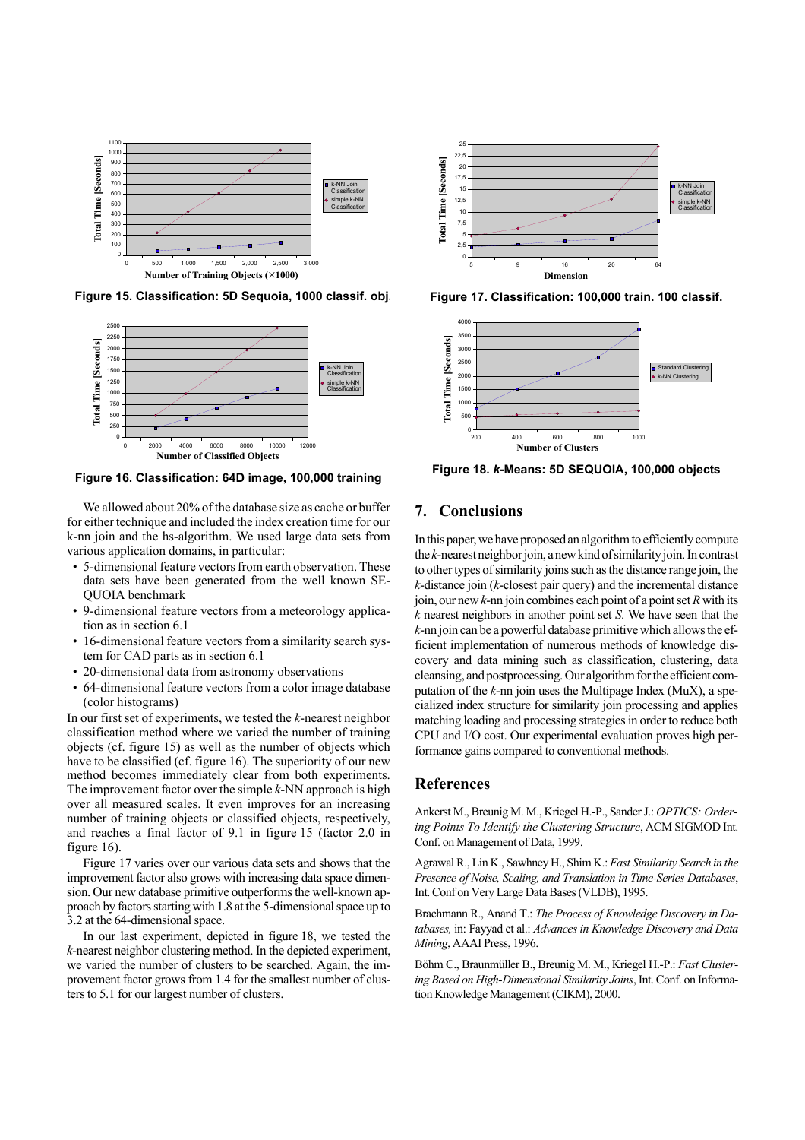



We allowed about 20% of the database size as cache or buffer for either technique and included the index creation time for our k-nn join and the hs-algorithm. We used large data sets from various application domains, in particular:

- 5-dimensional feature vectors from earth observation. These data sets have been generated from the well known SE-QUOIA benchmark
- 9-dimensional feature vectors from a meteorology application as in section 6.1
- 16-dimensional feature vectors from a similarity search system for CAD parts as in section 6.1
- 20-dimensional data from astronomy observations
- 64-dimensional feature vectors from a color image database (color histograms)

In our first set of experiments, we tested the *k*-nearest neighbor classification method where we varied the number of training objects (cf. figure 15) as well as the number of objects which have to be classified (cf. figure 16). The superiority of our new method becomes immediately clear from both experiments. The improvement factor over the simple *k-*NN approach is high over all measured scales. It even improves for an increasing number of training objects or classified objects, respectively, and reaches a final factor of 9.1 in figure 15 (factor 2.0 in figure 16).

Figure 17 varies over our various data sets and shows that the improvement factor also grows with increasing data space dimension. Our new database primitive outperforms the well-known approach by factors starting with 1.8 at the 5-dimensional space up to 3.2 at the 64-dimensional space.

In our last experiment, depicted in figure 18, we tested the *k*-nearest neighbor clustering method. In the depicted experiment, we varied the number of clusters to be searched. Again, the improvement factor grows from 1.4 for the smallest number of clusters to 5.1 for our largest number of clusters.





# **7. Conclusions**

In this paper, we have proposed an algorithm to efficiently compute the *k*-nearest neighbor join, a new kind of similarity join. In contrast to other types of similarity joins such as the distance range join, the *k*-distance join (*k*-closest pair query) and the incremental distance join, our new *k*-nn join combines each point of a point set *R* with its *k* nearest neighbors in another point set *S*. We have seen that the *k*-nn join can be a powerful database primitive which allows the efficient implementation of numerous methods of knowledge discovery and data mining such as classification, clustering, data cleansing, and postprocessing. Our algorithm for the efficient computation of the *k*-nn join uses the Multipage Index (MuX), a specialized index structure for similarity join processing and applies matching loading and processing strategies in order to reduce both CPU and I/O cost. Our experimental evaluation proves high performance gains compared to conventional methods.

### **References**

Ankerst M., Breunig M. M., Kriegel H.-P., Sander J.: *OPTICS: Ordering Points To Identify the Clustering Structure*, ACM SIGMOD Int. Conf. on Management of Data, 1999.

Agrawal R., Lin K., Sawhney H., Shim K.: *Fast Similarity Search in the Presence of Noise, Scaling, and Translation in Time-Series Databases*, Int. Conf on Very Large Data Bases (VLDB), 1995.

Brachmann R., Anand T.: *The Process of Knowledge Discovery in Databases,* in: Fayyad et al.: *Advances in Knowledge Discovery and Data Mining*, AAAI Press, 1996.

Böhm C., Braunmüller B., Breunig M. M., Kriegel H.-P.: *Fast Clustering Based on High-Dimensional Similarity Joins*, Int. Conf. on Information Knowledge Management (CIKM), 2000.